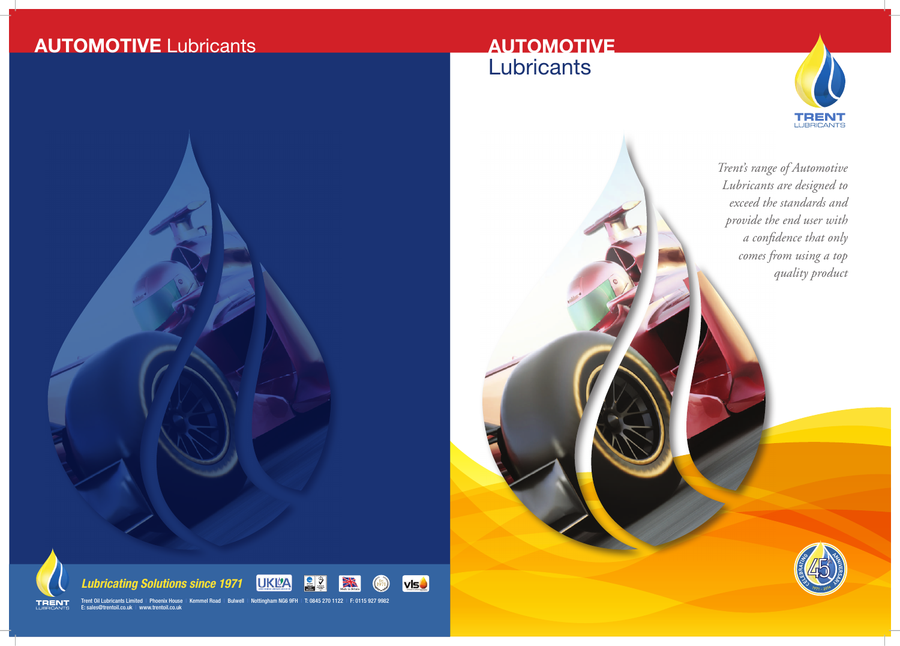*Trent's range of Automotive Lubricants are designed to exceed the standards and provide the end user with a confidence that only comes from using a top quality product*



Trent Oil Lubricants Limited I Phoenix House I Kemmel Road I Bulwell I Nottingham NG6 9FH I T: 0845 270 1122 I F: 0115 927 9982 E: sales@trentoil.co.uk | www.trentoil.co.uk

XN



# **AUTOMOTIVE** Lubricants

# **AUTOMOTIVE Lubricants**





*Lubricating Solutions since 1971*